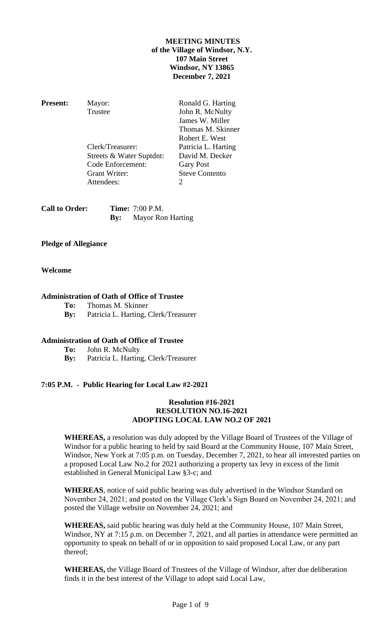# **MEETING MINUTES of the Village of Windsor, N.Y. 107 Main Street Windsor, NY 13865 December 7, 2021**

**Present:** Mayor: Ronald G. Harting Trustee John R. McNulty James W. Miller Thomas M. Skinner Robert E. West Clerk/Treasurer: Patricia L. Harting Streets & Water Suptdnt: David M. Decker Code Enforcement: Gary Post Grant Writer: Steve Contento Attendees: 2

| <b>Call to Order:</b> | <b>Time:</b> 7:00 P.M.       |
|-----------------------|------------------------------|
|                       | <b>By:</b> Mayor Ron Harting |

# **Pledge of Allegiance**

# **Welcome**

# **Administration of Oath of Office of Trustee**

- **To:** Thomas M. Skinner
- **By:** Patricia L. Harting, Clerk/Treasurer

## **Administration of Oath of Office of Trustee**

- **To:** John R. McNulty
- **By:** Patricia L. Harting, Clerk/Treasurer

## **7:05 P.M. - Public Hearing for Local Law #2-2021**

## **Resolution #16-2021 RESOLUTION NO.16-2021 ADOPTING LOCAL LAW NO.2 OF 2021**

**WHEREAS,** a resolution was duly adopted by the Village Board of Trustees of the Village of Windsor for a public hearing to held by said Board at the Community House, 107 Main Street, Windsor, New York at 7:05 p.m. on Tuesday, December 7, 2021, to hear all interested parties on a proposed Local Law No.2 for 2021 authorizing a property tax levy in excess of the limit established in General Municipal Law §3-c; and

**WHEREAS**, notice of said public hearing was duly advertised in the Windsor Standard on November 24, 2021; and posted on the Village Clerk's Sign Board on November 24, 2021; and posted the Village website on November 24, 2021; and

**WHEREAS,** said public hearing was duly held at the Community House, 107 Main Street, Windsor, NY at 7:15 p.m. on December 7, 2021, and all parties in attendance were permitted an opportunity to speak on behalf of or in opposition to said proposed Local Law, or any part thereof;

**WHEREAS,** the Village Board of Trustees of the Village of Windsor, after due deliberation finds it in the best interest of the Village to adopt said Local Law,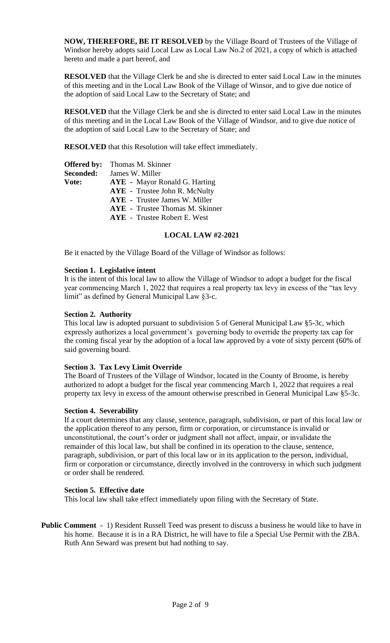**NOW, THEREFORE, BE IT RESOLVED** by the Village Board of Trustees of the Village of Windsor hereby adopts said Local Law as Local Law No.2 of 2021, a copy of which is attached hereto and made a part hereof, and

**RESOLVED** that the Village Clerk be and she is directed to enter said Local Law in the minutes of this meeting and in the Local Law Book of the Village of Winsor, and to give due notice of the adoption of said Local Law to the Secretary of State; and

**RESOLVED** that the Village Clerk be and she is directed to enter said Local Law in the minutes of this meeting and in the Local Law Book of the Village of Windsor, and to give due notice of the adoption of said Local Law to the Secretary of State; and

**RESOLVED** that this Resolution will take effect immediately.

| <b>Offered by:</b> | Thomas M. Skinner                      |
|--------------------|----------------------------------------|
| Seconded:          | James W. Miller                        |
| Vote:              | <b>AYE</b> - Mayor Ronald G. Harting   |
|                    | <b>AYE</b> - Trustee John R. McNulty   |
|                    | <b>AYE</b> - Trustee James W. Miller   |
|                    | <b>AYE</b> - Trustee Thomas M. Skinner |
|                    | <b>AYE</b> - Trustee Robert E. West    |

## **LOCAL LAW #2-2021**

Be it enacted by the Village Board of the Village of Windsor as follows:

## **Section 1. Legislative intent**

It is the intent of this local law to allow the Village of Windsor to adopt a budget for the fiscal year commencing March 1, 2022 that requires a real property tax levy in excess of the "tax levy limit" as defined by General Municipal Law §3-c.

## **Section 2. Authority**

This local law is adopted pursuant to subdivision 5 of General Municipal Law §5-3c, which expressly authorizes a local government's governing body to override the property tax cap for the coming fiscal year by the adoption of a local law approved by a vote of sixty percent (60% of said governing board.

## **Section 3. Tax Levy Limit Override**

The Board of Trustees of the Village of Windsor, located in the County of Broome, is hereby authorized to adopt a budget for the fiscal year commencing March 1, 2022 that requires a real property tax levy in excess of the amount otherwise prescribed in General Municipal Law §5-3c.

## **Section 4. Severability**

If a court determines that any clause, sentence, paragraph, subdivision, or part of this local law or the application thereof to any person, firm or corporation, or circumstance is invalid or unconstitutional, the court's order or judgment shall not affect, impair, or invalidate the remainder of this local law, but shall be confined in its operation to the clause, sentence, paragraph, subdivision, or part of this local law or in its application to the person, individual, firm or corporation or circumstance, directly involved in the controversy in which such judgment or order shall be rendered.

## **Section 5. Effective date**

This local law shall take effect immediately upon filing with the Secretary of State.

**Public Comment -** 1) Resident Russell Teed was present to discuss a business he would like to have in his home. Because it is in a RA District, he will have to file a Special Use Permit with the ZBA. Ruth Ann Seward was present but had nothing to say.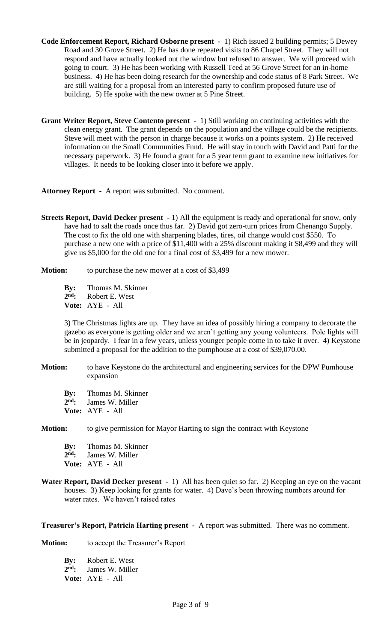- **Code Enforcement Report, Richard Osborne present -** 1) Rich issued 2 building permits; 5 Dewey Road and 30 Grove Street. 2) He has done repeated visits to 86 Chapel Street. They will not respond and have actually looked out the window but refused to answer. We will proceed with going to court. 3) He has been working with Russell Teed at 56 Grove Street for an in-home business. 4) He has been doing research for the ownership and code status of 8 Park Street. We are still waiting for a proposal from an interested party to confirm proposed future use of building. 5) He spoke with the new owner at 5 Pine Street.
- **Grant Writer Report, Steve Contento present -** 1) Still working on continuing activities with the clean energy grant. The grant depends on the population and the village could be the recipients. Steve will meet with the person in charge because it works on a points system. 2) He received information on the Small Communities Fund. He will stay in touch with David and Patti for the necessary paperwork. 3) He found a grant for a 5 year term grant to examine new initiatives for villages. It needs to be looking closer into it before we apply.

**Attorney Report -** A report was submitted. No comment.

**Streets Report, David Decker present -** 1) All the equipment is ready and operational for snow, only have had to salt the roads once thus far. 2) David got zero-turn prices from Chenango Supply. The cost to fix the old one with sharpening blades, tires, oil change would cost \$550. To purchase a new one with a price of \$11,400 with a 25% discount making it \$8,499 and they will give us \$5,000 for the old one for a final cost of \$3,499 for a new mower.

**Motion:** to purchase the new mower at a cost of \$3,499

**By:** Thomas M. Skinner

2<sup>nd</sup>: **nd:** Robert E. West

**Vote:** AYE - All

3) The Christmas lights are up. They have an idea of possibly hiring a company to decorate the gazebo as everyone is getting older and we aren't getting any young volunteers. Pole lights will be in jeopardy. I fear in a few years, unless younger people come in to take it over. 4) Keystone submitted a proposal for the addition to the pumphouse at a cost of \$39,070.00.

- **Motion:** to have Keystone do the architectural and engineering services for the DPW Pumhouse expansion
	- **By:** Thomas M. Skinner
	- 2<sup>nd</sup>: James W. Miller
	- **Vote:** AYE All

**Motion:** to give permission for Mayor Harting to sign the contract with Keystone

**By:** Thomas M. Skinner 2<sup>nd</sup>: James W. Miller **Vote:** AYE - All

**Water Report, David Decker present -** 1) All has been quiet so far. 2) Keeping an eye on the vacant houses. 3) Keep looking for grants for water. 4) Dave's been throwing numbers around for water rates. We haven't raised rates

**Treasurer's Report, Patricia Harting present -** A report was submitted. There was no comment.

**Motion:** to accept the Treasurer's Report

**By:** Robert E. West 2<sup>nd</sup>: James W. Miller **Vote:** AYE - All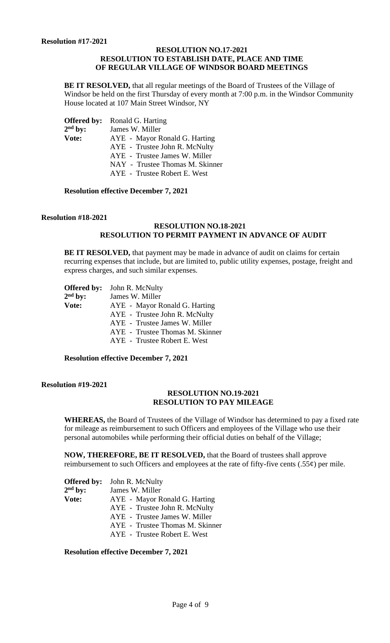## **RESOLUTION NO.17-2021 RESOLUTION TO ESTABLISH DATE, PLACE AND TIME OF REGULAR VILLAGE OF WINDSOR BOARD MEETINGS**

**BE IT RESOLVED,** that all regular meetings of the Board of Trustees of the Village of Windsor be held on the first Thursday of every month at 7:00 p.m. in the Windsor Community House located at 107 Main Street Windsor, NY

|           | <b>Offered by:</b> Ronald G. Harting |
|-----------|--------------------------------------|
| $2nd$ by: | James W. Miller                      |
| Vote:     | AYE - Mayor Ronald G. Harting        |
|           | AYE - Trustee John R. McNulty        |
|           | AYE - Trustee James W. Miller        |
|           | NAY - Trustee Thomas M. Skinner      |
|           | AYE - Trustee Robert E. West         |

**Resolution effective December 7, 2021**

#### **Resolution #18-2021**

# **RESOLUTION NO.18-2021 RESOLUTION TO PERMIT PAYMENT IN ADVANCE OF AUDIT**

**BE IT RESOLVED,** that payment may be made in advance of audit on claims for certain recurring expenses that include, but are limited to, public utility expenses, postage, freight and express charges, and such similar expenses.

|              | <b>Offered by:</b> John R. McNulty |
|--------------|------------------------------------|
| $2nd$ by:    | James W. Miller                    |
| <b>Vote:</b> | AYE - Mayor Ronald G. Harting      |
|              | AYE - Trustee John R. McNulty      |
|              | AYE - Trustee James W. Miller      |
|              | AYE - Trustee Thomas M. Skinner    |
|              | AYE - Trustee Robert E. West       |
|              |                                    |

**Resolution effective December 7, 2021**

## **Resolution #19-2021**

#### **RESOLUTION NO.19-2021 RESOLUTION TO PAY MILEAGE**

**WHEREAS,** the Board of Trustees of the Village of Windsor has determined to pay a fixed rate for mileage as reimbursement to such Officers and employees of the Village who use their personal automobiles while performing their official duties on behalf of the Village;

**NOW, THEREFORE, BE IT RESOLVED,** that the Board of trustees shall approve reimbursement to such Officers and employees at the rate of fifty-five cents  $(.55¢)$  per mile.

|           | <b>Offered by:</b> John R. McNulty |
|-----------|------------------------------------|
| $2nd$ by: | James W. Miller                    |
| Vote:     | AYE - Mayor Ronald G. Harting      |
|           | AYE - Trustee John R. McNulty      |
|           | AYE - Trustee James W. Miller      |
|           | AYE - Trustee Thomas M. Skinner    |
|           | AYE - Trustee Robert E. West       |

**Resolution effective December 7, 2021**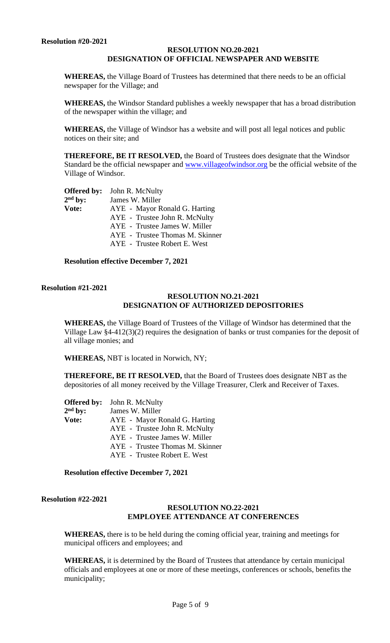## **RESOLUTION NO.20-2021 DESIGNATION OF OFFICIAL NEWSPAPER AND WEBSITE**

**WHEREAS,** the Village Board of Trustees has determined that there needs to be an official newspaper for the Village; and

**WHEREAS,** the Windsor Standard publishes a weekly newspaper that has a broad distribution of the newspaper within the village; and

**WHEREAS,** the Village of Windsor has a website and will post all legal notices and public notices on their site; and

**THEREFORE, BE IT RESOLVED,** the Board of Trustees does designate that the Windsor Standard be the official newspaper and [www.villageofwindsor.org](http://www.villageofwindsor.org/) be the official website of the Village of Windsor.

|           | <b>Offered by:</b> John R. McNulty |
|-----------|------------------------------------|
| $2nd$ by: | James W. Miller                    |
| Vote:     | AYE - Mayor Ronald G. Harting      |
|           | AYE - Trustee John R. McNulty      |
|           | AYE - Trustee James W. Miller      |
|           | AYE - Trustee Thomas M. Skinner    |
|           | AYE - Trustee Robert E. West       |
|           |                                    |

**Resolution effective December 7, 2021**

# **Resolution #21-2021**

#### **RESOLUTION NO.21-2021 DESIGNATION OF AUTHORIZED DEPOSITORIES**

**WHEREAS,** the Village Board of Trustees of the Village of Windsor has determined that the Village Law §4-412(3)(2) requires the designation of banks or trust companies for the deposit of all village monies; and

**WHEREAS,** NBT is located in Norwich, NY;

**THEREFORE, BE IT RESOLVED,** that the Board of Trustees does designate NBT as the depositories of all money received by the Village Treasurer, Clerk and Receiver of Taxes.

| <b>Offered by:</b> | John R. McNulty                 |
|--------------------|---------------------------------|
| $2nd$ by:          | James W. Miller                 |
| Vote:              | AYE - Mayor Ronald G. Harting   |
|                    | AYE - Trustee John R. McNulty   |
|                    | AYE - Trustee James W. Miller   |
|                    | AYE - Trustee Thomas M. Skinner |
|                    | AYE - Trustee Robert E. West    |
|                    |                                 |

**Resolution effective December 7, 2021**

**Resolution #22-2021**

#### **RESOLUTION NO.22-2021 EMPLOYEE ATTENDANCE AT CONFERENCES**

**WHEREAS,** there is to be held during the coming official year, training and meetings for municipal officers and employees; and

**WHEREAS,** it is determined by the Board of Trustees that attendance by certain municipal officials and employees at one or more of these meetings, conferences or schools, benefits the municipality;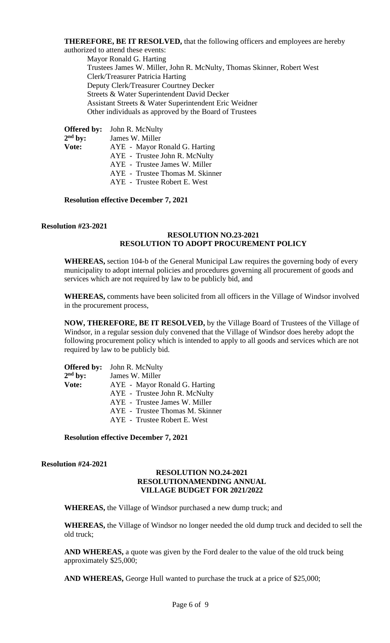**THEREFORE, BE IT RESOLVED,** that the following officers and employees are hereby authorized to attend these events:

Mayor Ronald G. Harting Trustees James W. Miller, John R. McNulty, Thomas Skinner, Robert West Clerk/Treasurer Patricia Harting Deputy Clerk/Treasurer Courtney Decker Streets & Water Superintendent David Decker Assistant Streets & Water Superintendent Eric Weidner Other individuals as approved by the Board of Trustees

**Offered by:** John R. McNulty  $2<sup>nd</sup>$  by: James W. Miller **Vote:** AYE - Mayor Ronald G. Harting AYE - Trustee John R. McNulty AYE - Trustee James W. Miller AYE - Trustee Thomas M. Skinner AYE - Trustee Robert E. West

**Resolution effective December 7, 2021**

# **Resolution #23-2021**

# **RESOLUTION NO.23-2021 RESOLUTION TO ADOPT PROCUREMENT POLICY**

**WHEREAS,** section 104-b of the General Municipal Law requires the governing body of every municipality to adopt internal policies and procedures governing all procurement of goods and services which are not required by law to be publicly bid, and

**WHEREAS,** comments have been solicited from all officers in the Village of Windsor involved in the procurement process,

**NOW, THEREFORE, BE IT RESOLVED,** by the Village Board of Trustees of the Village of Windsor, in a regular session duly convened that the Village of Windsor does hereby adopt the following procurement policy which is intended to apply to all goods and services which are not required by law to be publicly bid.

|           | <b>Offered by:</b> John R. McNulty |
|-----------|------------------------------------|
| $2nd$ by: | James W. Miller                    |
| Vote:     | AYE - Mayor Ronald G. Harting      |
|           | AYE - Trustee John R. McNulty      |
|           | AYE - Trustee James W. Miller      |
|           | AYE - Trustee Thomas M. Skinner    |
|           | AYE - Trustee Robert E. West       |

**Resolution effective December 7, 2021**

**Resolution #24-2021**

## **RESOLUTION NO.24-2021 RESOLUTIONAMENDING ANNUAL VILLAGE BUDGET FOR 2021/2022**

**WHEREAS,** the Village of Windsor purchased a new dump truck; and

**WHEREAS,** the Village of Windsor no longer needed the old dump truck and decided to sell the old truck;

**AND WHEREAS,** a quote was given by the Ford dealer to the value of the old truck being approximately \$25,000;

**AND WHEREAS,** George Hull wanted to purchase the truck at a price of \$25,000;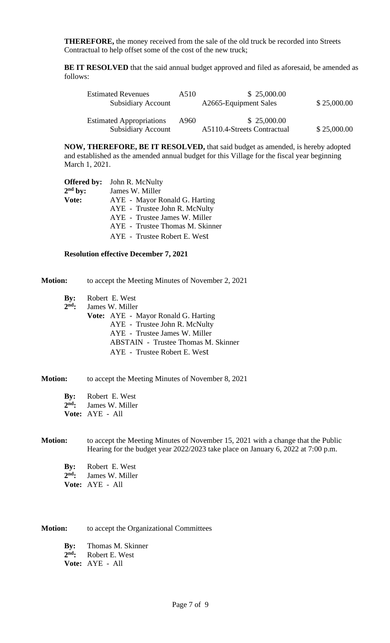**THEREFORE,** the money received from the sale of the old truck be recorded into Streets Contractual to help offset some of the cost of the new truck;

**BE IT RESOLVED** that the said annual budget approved and filed as aforesaid, be amended as follows:

| <b>Estimated Revenues</b><br><b>Subsidiary Account</b>       | A510 | \$25,000.00<br>A2665-Equipment Sales       | \$25,000.00 |
|--------------------------------------------------------------|------|--------------------------------------------|-------------|
| <b>Estimated Appropriations</b><br><b>Subsidiary Account</b> | A960 | \$25,000.00<br>A5110.4-Streets Contractual | \$25,000.00 |

**NOW, THEREFORE, BE IT RESOLVED,** that said budget as amended, is hereby adopted and established as the amended annual budget for this Village for the fiscal year beginning March 1, 2021.

| <b>Offered by:</b> | John R. McNulty                 |
|--------------------|---------------------------------|
| $2nd$ by:          | James W. Miller                 |
| Vote:              | AYE - Mayor Ronald G. Harting   |
|                    | AYE - Trustee John R. McNulty   |
|                    | AYE - Trustee James W. Miller   |
|                    | AYE - Trustee Thomas M. Skinner |
|                    | AYE - Trustee Robert E. West    |
|                    |                                 |

#### **Resolution effective December 7, 2021**

**Motion:** to accept the Meeting Minutes of November 2, 2021

- **By:** Robert E. West
- 2<sup>nd</sup>: James W. Miller
	- **Vote:** AYE Mayor Ronald G. Harting AYE - Trustee John R. McNulty AYE - Trustee James W. Miller ABSTAIN - Trustee Thomas M. Skinner AYE - Trustee Robert E. West

#### **Motion:** to accept the Meeting Minutes of November 8, 2021

| $\mathbf{By:}$ | Robert E. West  |
|----------------|-----------------|
| $2nd$ :        | James W. Miller |
|                | Vote: AYE - All |

#### **Motion:** to accept the Meeting Minutes of November 15, 2021 with a change that the Public Hearing for the budget year 2022/2023 take place on January 6, 2022 at 7:00 p.m.

| By:     | Robert E. West  |
|---------|-----------------|
| $2nd$ : | James W. Miller |
|         | Vote: AYE - All |

**Motion:** to accept the Organizational Committees

**By:** Thomas M. Skinner 2<sup>nd</sup>: **Robert E. West** 

**Vote:** AYE - All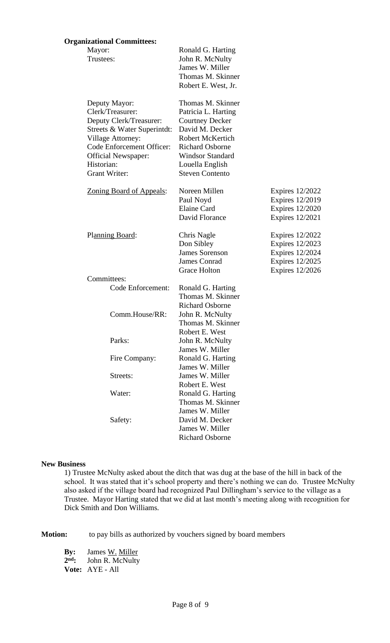#### **Organizational Committees:**

| Mayor:<br>Trustees:                                                                                                                                                                                               | Ronald G. Harting<br>John R. McNulty<br>James W. Miller<br>Thomas M. Skinner<br>Robert E. West, Jr.                                                                                                                |                                                                                                                         |
|-------------------------------------------------------------------------------------------------------------------------------------------------------------------------------------------------------------------|--------------------------------------------------------------------------------------------------------------------------------------------------------------------------------------------------------------------|-------------------------------------------------------------------------------------------------------------------------|
| Deputy Mayor:<br>Clerk/Treasurer:<br>Deputy Clerk/Treasurer:<br>Streets & Water Superintdt:<br><b>Village Attorney:</b><br>Code Enforcement Officer:<br><b>Official Newspaper:</b><br>Historian:<br>Grant Writer: | Thomas M. Skinner<br>Patricia L. Harting<br><b>Courtney Decker</b><br>David M. Decker<br><b>Robert McKertich</b><br><b>Richard Osborne</b><br><b>Windsor Standard</b><br>Louella English<br><b>Steven Contento</b> |                                                                                                                         |
| <b>Zoning Board of Appeals:</b>                                                                                                                                                                                   | Noreen Millen<br>Paul Noyd<br><b>Elaine Card</b><br>David Florance                                                                                                                                                 | Expires 12/2022<br><b>Expires 12/2019</b><br><b>Expires 12/2020</b><br><b>Expires</b> 12/2021                           |
| Planning Board:                                                                                                                                                                                                   | Chris Nagle<br>Don Sibley<br><b>James Sorenson</b><br><b>James Conrad</b><br><b>Grace Holton</b>                                                                                                                   | <b>Expires 12/2022</b><br>Expires 12/2023<br><b>Expires 12/2024</b><br><b>Expires 12/2025</b><br><b>Expires 12/2026</b> |
| Committees:<br>Code Enforcement:                                                                                                                                                                                  | Ronald G. Harting                                                                                                                                                                                                  |                                                                                                                         |
| Comm.House/RR:                                                                                                                                                                                                    | Thomas M. Skinner<br><b>Richard Osborne</b><br>John R. McNulty<br>Thomas M. Skinner                                                                                                                                |                                                                                                                         |
| Parks:                                                                                                                                                                                                            | Robert E. West<br>John R. McNulty<br>James W. Miller                                                                                                                                                               |                                                                                                                         |
| Fire Company:                                                                                                                                                                                                     | Ronald G. Harting<br>James W. Miller                                                                                                                                                                               |                                                                                                                         |
| Streets:                                                                                                                                                                                                          | James W. Miller                                                                                                                                                                                                    |                                                                                                                         |
| Water:                                                                                                                                                                                                            | Robert E. West<br>Ronald G. Harting<br>Thomas M. Skinner                                                                                                                                                           |                                                                                                                         |
| Safety:                                                                                                                                                                                                           | James W. Miller<br>David M. Decker<br>James W. Miller<br><b>Richard Osborne</b>                                                                                                                                    |                                                                                                                         |

#### **New Business**

1) Trustee McNulty asked about the ditch that was dug at the base of the hill in back of the school. It was stated that it's school property and there's nothing we can do. Trustee McNulty also asked if the village board had recognized Paul Dillingham's service to the village as a Trustee. Mayor Harting stated that we did at last month's meeting along with recognition for Dick Smith and Don Williams.

**Motion:** to pay bills as authorized by vouchers signed by board members

**By:** James W. Miller  $2<sup>nd</sup>$ : **John R. McNulty Vote:** AYE - All